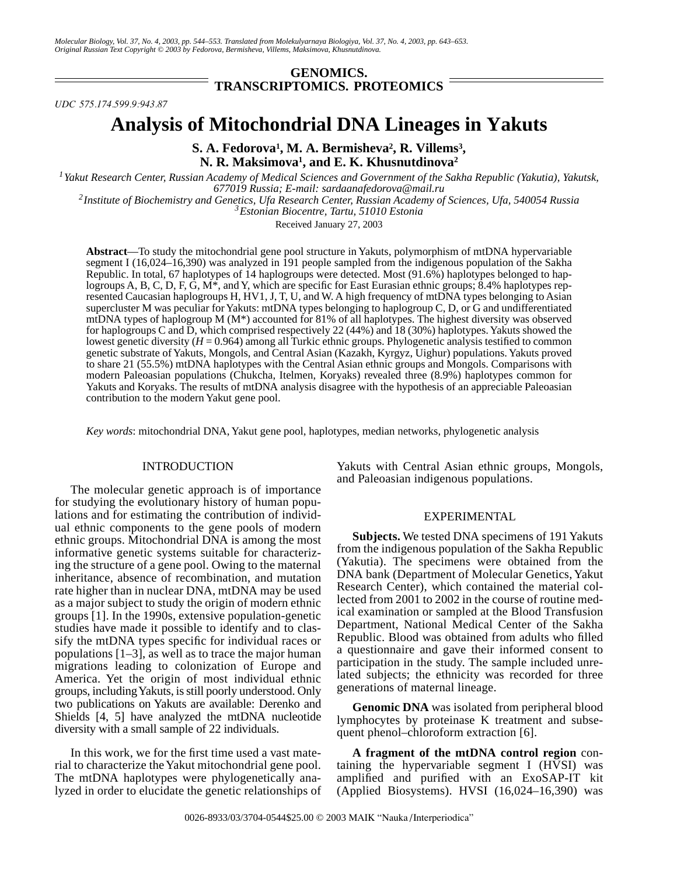## **GENOMICS. TRANSCRIPTOMICS. PROTEOMICS**

*UDC 575.174.599.9:943.87*

# **Analysis of Mitochondrial DNA Lineages in Yakuts**

S. A. Fedorova<sup>1</sup>, M. A. Bermisheva<sup>2</sup>, R. Villems<sup>3</sup>, **N. R. Maksimova1 , and E. K. Khusnutdinova2**

*1Yakut Research Center, Russian Academy of Medical Sciences and Government of the Sakha Republic (Yakutia), Yakutsk, 677019 Russia; E-mail: sardaanafedorova@mail.ru 2Institute of Biochemistry and Genetics, Ufa Research Center, Russian Academy of Sciences, Ufa, 540054 Russia 3Estonian Biocentre, Tartu, 51010 Estonia*

Received January 27, 2003

**Abstract**—To study the mitochondrial gene pool structure in Yakuts, polymorphism of mtDNA hypervariable segment I (16,024–16,390) was analyzed in 191 people sampled from the indigenous population of the Sakha Republic. In total, 67 haplotypes of 14 haplogroups were detected. Most (91.6%) haplotypes belonged to haplogroups A, B, C, D, F, G, M\*, and Y, which are specific for East Eurasian ethnic groups; 8.4% haplotypes represented Caucasian haplogroups H, HV1, J, T, U, and W. A high frequency of mtDNA types belonging to Asian supercluster M was peculiar for Yakuts: mtDNA types belonging to haplogroup C, D, or G and undifferentiated mtDNA types of haplogroup  $M(M^*)$  accounted for 81% of all haplotypes. The highest diversity was observed for haplogroups C and D, which comprised respectively 22 (44%) and 18 (30%) haplotypes. Yakuts showed the lowest genetic diversity (*H* = 0.964) among all Turkic ethnic groups. Phylogenetic analysis testified to common genetic substrate of Yakuts, Mongols, and Central Asian (Kazakh, Kyrgyz, Uighur) populations. Yakuts proved to share 21 (55.5%) mtDNA haplotypes with the Central Asian ethnic groups and Mongols. Comparisons with modern Paleoasian populations (Chukcha, Itelmen, Koryaks) revealed three (8.9%) haplotypes common for Yakuts and Koryaks. The results of mtDNA analysis disagree with the hypothesis of an appreciable Paleoasian contribution to the modern Yakut gene pool.

*Key words*: mitochondrial DNA, Yakut gene pool, haplotypes, median networks, phylogenetic analysis

#### INTRODUCTION

The molecular genetic approach is of importance for studying the evolutionary history of human populations and for estimating the contribution of individual ethnic components to the gene pools of modern ethnic groups. Mitochondrial DNA is among the most informative genetic systems suitable for characterizing the structure of a gene pool. Owing to the maternal inheritance, absence of recombination, and mutation rate higher than in nuclear DNA, mtDNA may be used as a major subject to study the origin of modern ethnic groups [1]. In the 1990s, extensive population-genetic studies have made it possible to identify and to classify the mtDNA types specific for individual races or populations [1–3], as well as to trace the major human migrations leading to colonization of Europe and America. Yet the origin of most individual ethnic groups, including Yakuts, is still poorly understood. Only two publications on Yakuts are available: Derenko and Shields [4, 5] have analyzed the mtDNA nucleotide diversity with a small sample of 22 individuals.

In this work, we for the first time used a vast material to characterize the Yakut mitochondrial gene pool. The mtDNA haplotypes were phylogenetically analyzed in order to elucidate the genetic relationships of Yakuts with Central Asian ethnic groups, Mongols, and Paleoasian indigenous populations.

### EXPERIMENTAL

**Subjects.** We tested DNA specimens of 191 Yakuts from the indigenous population of the Sakha Republic (Yakutia). The specimens were obtained from the DNA bank (Department of Molecular Genetics, Yakut Research Center), which contained the material collected from 2001 to 2002 in the course of routine medical examination or sampled at the Blood Transfusion Department, National Medical Center of the Sakha Republic. Blood was obtained from adults who filled a questionnaire and gave their informed consent to participation in the study. The sample included unrelated subjects; the ethnicity was recorded for three generations of maternal lineage.

**Genomic DNA** was isolated from peripheral blood lymphocytes by proteinase K treatment and subsequent phenol–chloroform extraction [6].

**A fragment of the mtDNA control region** containing the hypervariable segment I  $(H\bar{V}SI)$  was amplified and purified with an ExoSAP-IT kit (Applied Biosystems). HVSI (16,024–16,390) was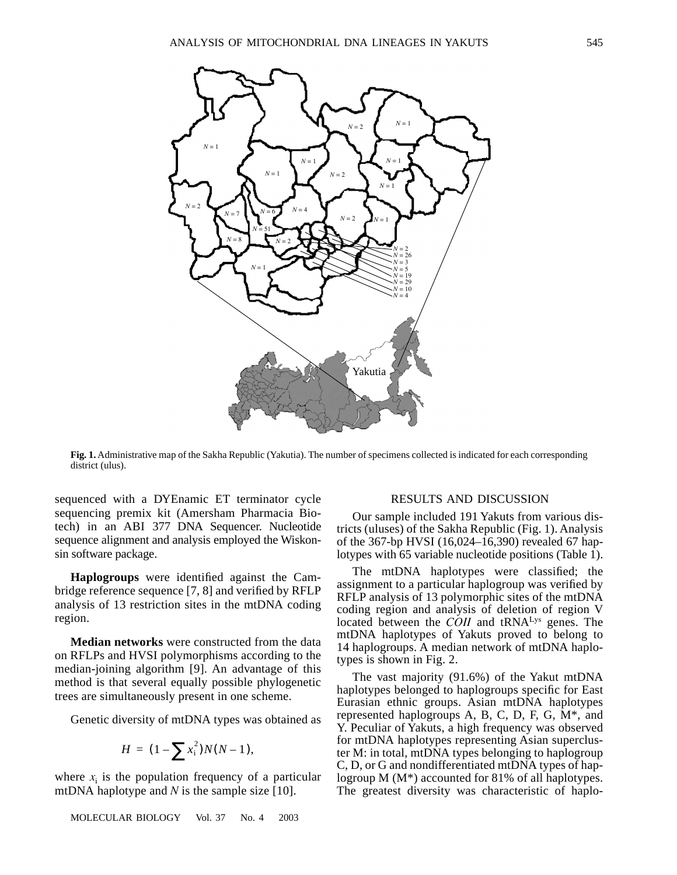

**Fig. 1.** Administrative map of the Sakha Republic (Yakutia). The number of specimens collected is indicated for each corresponding district (ulus).

sequenced with a DYEnamic ET terminator cycle sequencing premix kit (Amersham Pharmacia Biotech) in an ABI 377 DNA Sequencer. Nucleotide sequence alignment and analysis employed the Wiskonsin software package.

**Haplogroups** were identified against the Cambridge reference sequence [7, 8] and verified by RFLP analysis of 13 restriction sites in the mtDNA coding region.

**Median networks** were constructed from the data on RFLPs and HVSI polymorphisms according to the median-joining algorithm [9]. An advantage of this method is that several equally possible phylogenetic trees are simultaneously present in one scheme.

Genetic diversity of mtDNA types was obtained as

$$
H = (1 - \sum x_i^2)N(N - 1),
$$

where  $x_i$  is the population frequency of a particular mtDNA haplotype and *N* is the sample size [10].

MOLECULAR BIOLOGY Vol. 37 No. 4 2003

### RESULTS AND DISCUSSION

Our sample included 191 Yakuts from various districts (uluses) of the Sakha Republic (Fig. 1). Analysis of the 367-bp HVSI (16,024–16,390) revealed 67 haplotypes with 65 variable nucleotide positions (Table 1).

The mtDNA haplotypes were classified; the assignment to a particular haplogroup was verified by RFLP analysis of 13 polymorphic sites of the mtDNA coding region and analysis of deletion of region V located between the *COII* and tRNA<sup>Lys</sup> genes. The mtDNA haplotypes of Yakuts proved to belong to 14 haplogroups. A median network of mtDNA haplotypes is shown in Fig. 2.

The vast majority (91.6%) of the Yakut mtDNA haplotypes belonged to haplogroups specific for East Eurasian ethnic groups. Asian mtDNA haplotypes represented haplogroups A, B, C, D, F, G, M\*, and Y. Peculiar of Yakuts, a high frequency was observed for mtDNA haplotypes representing Asian supercluster M: in total, mtDNA types belonging to haplogroup C, D, or G and nondifferentiated mtDNA types of haplogroup M (M\*) accounted for 81% of all haplotypes. The greatest diversity was characteristic of haplo-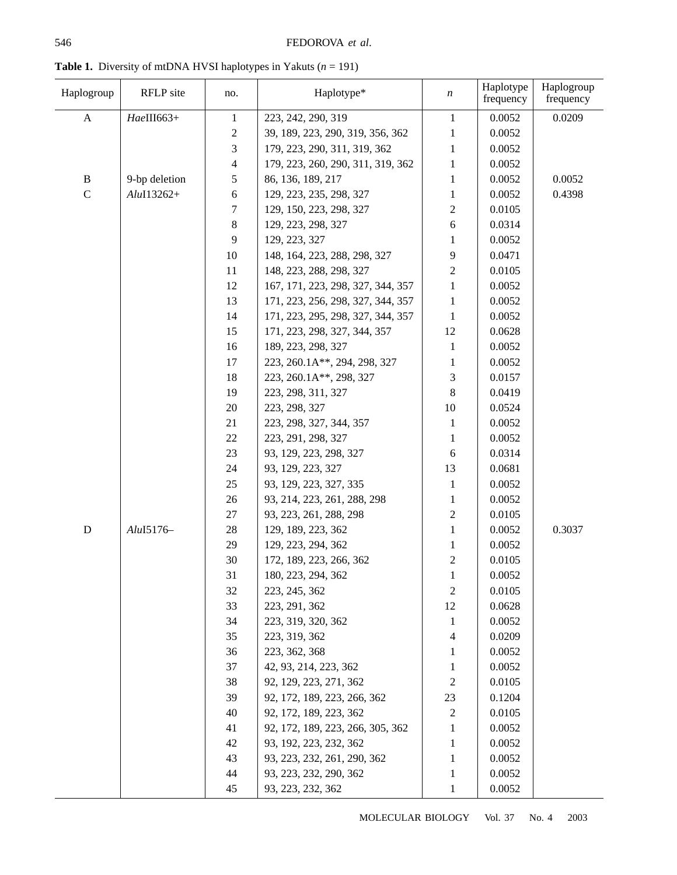| Haplogroup   | RFLP site            | no.                                | Haplotype*                        | n              | Haplotype<br>frequency | Haplogroup<br>frequency |
|--------------|----------------------|------------------------------------|-----------------------------------|----------------|------------------------|-------------------------|
| $\mathbf{A}$ | HaeIII663+           | $\mathbf{1}$<br>223, 242, 290, 319 |                                   |                | 0.0052                 | 0.0209                  |
|              |                      | $\overline{c}$                     | 39, 189, 223, 290, 319, 356, 362  | 1              | 0.0052                 |                         |
|              |                      | 3                                  | 179, 223, 290, 311, 319, 362      | 1              | 0.0052                 |                         |
|              |                      | 4                                  | 179, 223, 260, 290, 311, 319, 362 | 1              | 0.0052                 |                         |
| $\, {\bf B}$ | 9-bp deletion        | 5                                  | 86, 136, 189, 217                 | 1              | 0.0052                 | 0.0052                  |
| $\mathsf{C}$ | $Alu$ I13262+        | 6                                  | 129, 223, 235, 298, 327           | 1              | 0.0052                 | 0.4398                  |
|              |                      | 7                                  | 129, 150, 223, 298, 327           | 2              | 0.0105                 |                         |
|              |                      | 8                                  | 129, 223, 298, 327                | 6              | 0.0314                 |                         |
|              |                      | 9                                  | 129, 223, 327                     | 1              | 0.0052                 |                         |
|              |                      | 10                                 | 148, 164, 223, 288, 298, 327      | 9              | 0.0471                 |                         |
|              |                      | 11                                 | 148, 223, 288, 298, 327           | 2              | 0.0105                 |                         |
|              |                      | 12                                 | 167, 171, 223, 298, 327, 344, 357 | 1              | 0.0052                 |                         |
|              |                      | 13                                 | 171, 223, 256, 298, 327, 344, 357 | 1              | 0.0052                 |                         |
|              |                      | 14                                 | 171, 223, 295, 298, 327, 344, 357 | 1              | 0.0052                 |                         |
|              |                      | 15                                 | 171, 223, 298, 327, 344, 357      | 12             | 0.0628                 |                         |
|              |                      | 16                                 | 189, 223, 298, 327                | 1              | 0.0052                 |                         |
|              |                      | 17                                 | 223, 260.1A**, 294, 298, 327      | 1              | 0.0052                 |                         |
|              |                      | 18                                 | 223, 260.1A**, 298, 327           | 3              | 0.0157                 |                         |
|              |                      | 19                                 | 223, 298, 311, 327                | 8              | 0.0419                 |                         |
|              | 20                   |                                    | 223, 298, 327                     | 10             | 0.0524                 |                         |
|              |                      | 21                                 | 223, 298, 327, 344, 357           | 1              | 0.0052                 |                         |
|              |                      | 22                                 | 223, 291, 298, 327                | 1              | 0.0052                 |                         |
|              |                      | 23                                 | 93, 129, 223, 298, 327            | 6              | 0.0314                 |                         |
|              |                      | 24                                 | 93, 129, 223, 327                 | 13             | 0.0681                 |                         |
|              |                      | 25                                 | 93, 129, 223, 327, 335            | 1              | 0.0052                 |                         |
|              |                      | 26                                 | 93, 214, 223, 261, 288, 298       | 1              | 0.0052                 |                         |
|              |                      | $27\,$                             | 93, 223, 261, 288, 298            | $\overline{2}$ | 0.0105                 |                         |
| $\mathbf D$  | Alu <sub>I5176</sub> | 28                                 | 129, 189, 223, 362                | 1              | 0.0052                 | 0.3037                  |
|              |                      | 29                                 | 129, 223, 294, 362                | 1              | 0.0052                 |                         |
|              |                      | 30                                 | 172, 189, 223, 266, 362           | $\overline{c}$ | 0.0105                 |                         |
|              |                      | 31                                 | 180, 223, 294, 362                | 1              | 0.0052                 |                         |
|              |                      | 32                                 | 223, 245, 362                     | 2              | 0.0105                 |                         |
|              |                      | 33                                 | 223, 291, 362                     | 12             | 0.0628                 |                         |
|              |                      | 34                                 | 223, 319, 320, 362                | 1              | 0.0052                 |                         |
|              |                      | 35                                 | 223, 319, 362                     | 4              | 0.0209                 |                         |
|              |                      | 36                                 | 223, 362, 368                     | 1              | 0.0052                 |                         |
|              |                      | 37                                 | 42, 93, 214, 223, 362             | 1              | 0.0052                 |                         |
|              |                      | 38                                 | 92, 129, 223, 271, 362            | $\overline{c}$ | 0.0105                 |                         |
|              |                      | 39                                 | 92, 172, 189, 223, 266, 362       | 23             | 0.1204                 |                         |
|              |                      | 40                                 | 92, 172, 189, 223, 362            | 2              | 0.0105                 |                         |
|              |                      | 41                                 | 92, 172, 189, 223, 266, 305, 362  | 1              | 0.0052                 |                         |
|              |                      | 42                                 | 93, 192, 223, 232, 362            | 1              | 0.0052                 |                         |
|              |                      | 43                                 | 93, 223, 232, 261, 290, 362       | 1              | 0.0052                 |                         |
|              |                      | 44                                 | 93, 223, 232, 290, 362            | 1              | 0.0052                 |                         |
|              |                      | 45                                 | 93, 223, 232, 362                 | $\mathbf{1}$   | 0.0052                 |                         |

**Table 1.** Diversity of mtDNA HVSI haplotypes in Yakuts (*n* = 191)

MOLECULAR BIOLOGY Vol. 37 No. 4 2003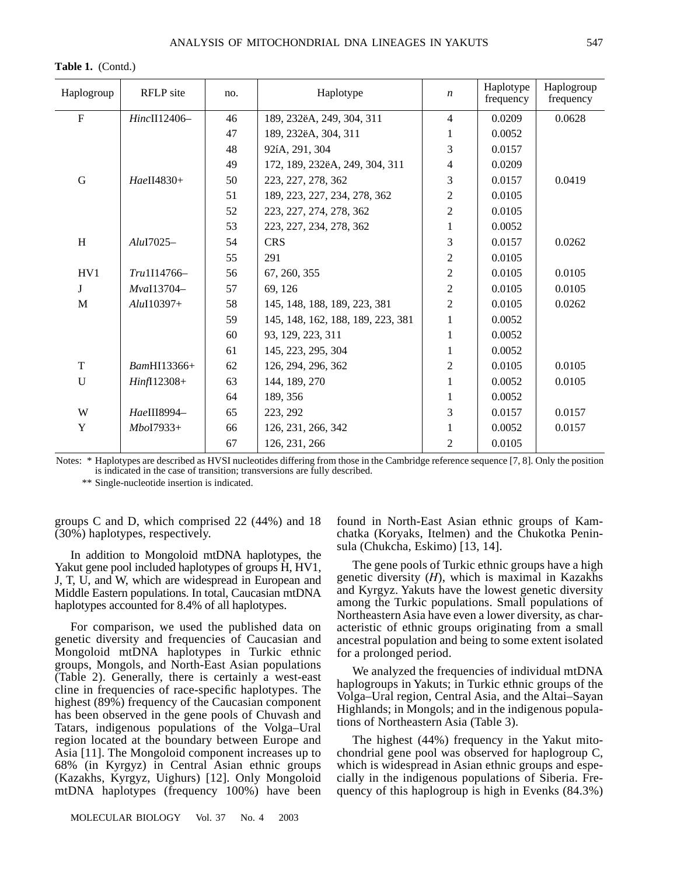**Table 1.** (Contd.)

| Haplogroup   | RFLP site     | no. | Haplotype                         | $\boldsymbol{n}$ | Haplotype<br>frequency | Haplogroup<br>frequency |
|--------------|---------------|-----|-----------------------------------|------------------|------------------------|-------------------------|
| ${\bf F}$    | HincII12406-  | 46  | 189, 232ëA, 249, 304, 311         | $\overline{4}$   | 0.0209                 | 0.0628                  |
|              |               | 47  | 189, 232ëA, 304, 311              | 1                | 0.0052                 |                         |
|              |               | 48  | 92íA, 291, 304                    | 3                | 0.0157                 |                         |
|              |               | 49  | 172, 189, 232ëA, 249, 304, 311    | 4                | 0.0209                 |                         |
| G            | HaeII4830+    | 50  | 223, 227, 278, 362                | 3                | 0.0157                 | 0.0419                  |
|              |               | 51  | 189, 223, 227, 234, 278, 362      | $\boldsymbol{2}$ | 0.0105                 |                         |
|              |               | 52  | 223, 227, 274, 278, 362           | $\overline{2}$   | 0.0105                 |                         |
|              |               | 53  | 223, 227, 234, 278, 362           | 1                | 0.0052                 |                         |
| H            | $Alu$ I7025-  | 54  | <b>CRS</b>                        | 3                | 0.0157                 | 0.0262                  |
|              |               | 55  | 291                               | $\overline{2}$   | 0.0105                 |                         |
| HV1          | Tru1I14766-   | 56  | 67, 260, 355                      | $\overline{2}$   | 0.0105                 | 0.0105                  |
| J            | MvaI13704-    | 57  | 69, 126                           | $\sqrt{2}$       | 0.0105                 | 0.0105                  |
| M            | $Alu$ I10397+ | 58  | 145, 148, 188, 189, 223, 381      | $\overline{2}$   | 0.0105                 | 0.0262                  |
|              |               | 59  | 145, 148, 162, 188, 189, 223, 381 | $\mathbf{1}$     | 0.0052                 |                         |
|              |               | 60  | 93, 129, 223, 311                 | 1                | 0.0052                 |                         |
|              |               | 61  | 145, 223, 295, 304                | 1                | 0.0052                 |                         |
| T            | BamHI13366+   | 62  | 126, 294, 296, 362                | $\overline{2}$   | 0.0105                 | 0.0105                  |
| $\mathbf{U}$ | $Hint112308+$ | 63  | 144, 189, 270                     | 1                | 0.0052                 | 0.0105                  |
|              |               | 64  | 189, 356                          | 1                | 0.0052                 |                         |
| W            | HaeIII8994-   | 65  | 223, 292                          | 3                | 0.0157                 | 0.0157                  |
| Y            | $MboI7933+$   | 66  | 126, 231, 266, 342                | 1                | 0.0052                 | 0.0157                  |
|              |               | 67  | 126, 231, 266                     | 2                | 0.0105                 |                         |

Notes: \* Haplotypes are described as HVSI nucleotides differing from those in the Cambridge reference sequence [7, 8]. Only the position is indicated in the case of transition; transversions are fully described.

\*\* Single-nucleotide insertion is indicated.

groups C and D, which comprised 22 (44%) and 18 (30%) haplotypes, respectively.

In addition to Mongoloid mtDNA haplotypes, the Yakut gene pool included haplotypes of groups H, HV1, J, T, U, and W, which are widespread in European and Middle Eastern populations. In total, Caucasian mtDNA haplotypes accounted for 8.4% of all haplotypes.

For comparison, we used the published data on genetic diversity and frequencies of Caucasian and Mongoloid mtDNA haplotypes in Turkic ethnic groups, Mongols, and North-East Asian populations (Table 2). Generally, there is certainly a west-east cline in frequencies of race-specific haplotypes. The highest (89%) frequency of the Caucasian component has been observed in the gene pools of Chuvash and Tatars, indigenous populations of the Volga–Ural region located at the boundary between Europe and Asia [11]. The Mongoloid component increases up to 68% (in Kyrgyz) in Central Asian ethnic groups (Kazakhs, Kyrgyz, Uighurs) [12]. Only Mongoloid mtDNA haplotypes (frequency 100%) have been

MOLECULAR BIOLOGY Vol. 37 No. 4 2003

found in North-East Asian ethnic groups of Kamchatka (Koryaks, Itelmen) and the Chukotka Peninsula (Chukcha, Eskimo) [13, 14].

The gene pools of Turkic ethnic groups have a high genetic diversity (*H*), which is maximal in Kazakhs and Kyrgyz. Yakuts have the lowest genetic diversity among the Turkic populations. Small populations of Northeastern Asia have even a lower diversity, as characteristic of ethnic groups originating from a small ancestral population and being to some extent isolated for a prolonged period.

We analyzed the frequencies of individual mtDNA haplogroups in Yakuts; in Turkic ethnic groups of the Volga–Ural region, Central Asia, and the Altai–Sayan Highlands; in Mongols; and in the indigenous populations of Northeastern Asia (Table 3).

The highest (44%) frequency in the Yakut mitochondrial gene pool was observed for haplogroup C, which is widespread in Asian ethnic groups and especially in the indigenous populations of Siberia. Frequency of this haplogroup is high in Evenks (84.3%)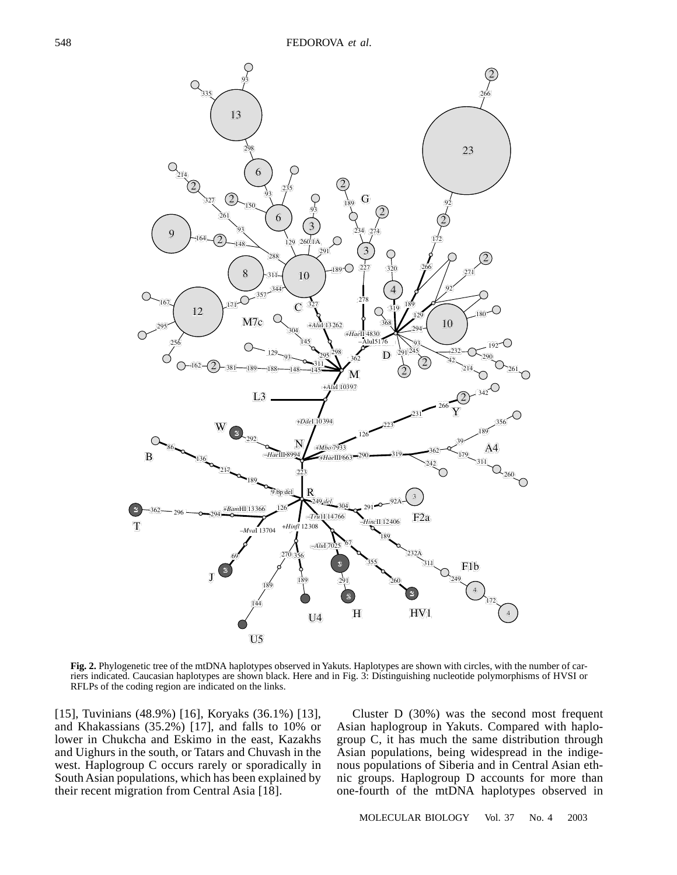

**Fig. 2.** Phylogenetic tree of the mtDNA haplotypes observed in Yakuts. Haplotypes are shown with circles, with the number of carriers indicated. Caucasian haplotypes are shown black. Here and in Fig. 3: Distinguishing nucleotide polymorphisms of HVSI or RFLPs of the coding region are indicated on the links.

[15], Tuvinians (48.9%) [16], Koryaks (36.1%) [13], and Khakassians (35.2%) [17], and falls to 10% or lower in Chukcha and Eskimo in the east, Kazakhs and Uighurs in the south, or Tatars and Chuvash in the west. Haplogroup C occurs rarely or sporadically in South Asian populations, which has been explained by their recent migration from Central Asia [18].

Cluster D (30%) was the second most frequent Asian haplogroup in Yakuts. Compared with haplogroup C, it has much the same distribution through Asian populations, being widespread in the indigenous populations of Siberia and in Central Asian ethnic groups. Haplogroup D accounts for more than one-fourth of the mtDNA haplotypes observed in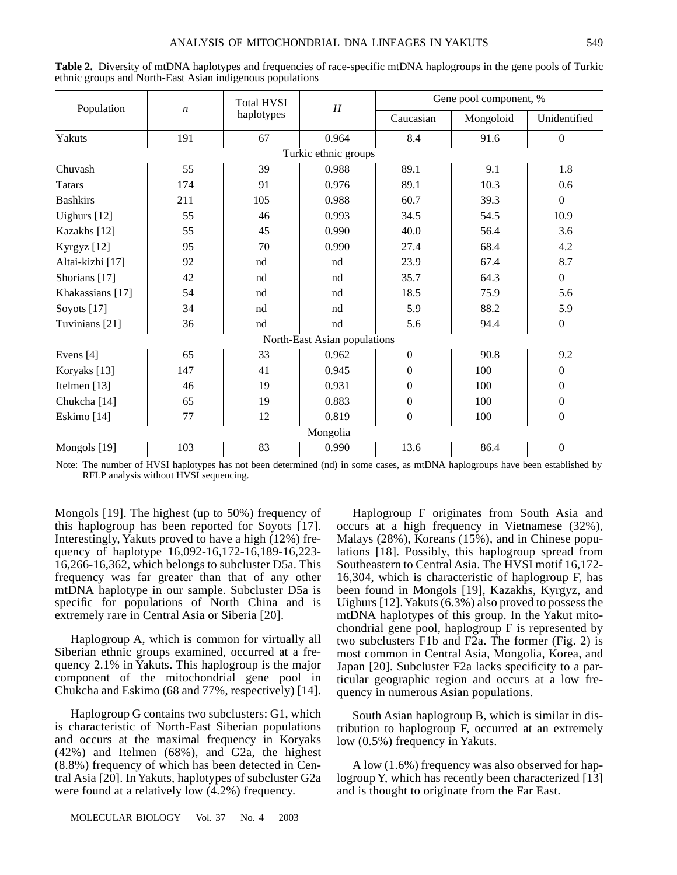|                      |                  | <b>Total HVSI</b> | $\boldsymbol{H}$             | Gene pool component, % |           |                  |  |  |
|----------------------|------------------|-------------------|------------------------------|------------------------|-----------|------------------|--|--|
| Population           | $\boldsymbol{n}$ | haplotypes        |                              | Caucasian              | Mongoloid | Unidentified     |  |  |
| Yakuts               | 191              | 67                | 0.964                        | 8.4                    | 91.6      | $\boldsymbol{0}$ |  |  |
| Turkic ethnic groups |                  |                   |                              |                        |           |                  |  |  |
| Chuvash              | 55               | 39                | 0.988                        | 89.1                   | 9.1       | 1.8              |  |  |
| <b>Tatars</b>        | 174              | 91                | 0.976                        | 89.1                   | 10.3      | 0.6              |  |  |
| <b>Bashkirs</b>      | 211              | 105               | 0.988                        | 60.7                   | 39.3      | $\mathbf{0}$     |  |  |
| Uighurs [12]         | 55               | 46                | 0.993                        | 34.5                   | 54.5      | 10.9             |  |  |
| Kazakhs [12]         | 55               | 45                | 0.990                        | 40.0                   | 56.4      | 3.6              |  |  |
| Kyrgyz [12]          | 95               | 70                | 0.990                        | 27.4                   | 68.4      | 4.2              |  |  |
| Altai-kizhi [17]     | 92               | nd                | nd                           | 23.9                   | 67.4      | 8.7              |  |  |
| Shorians [17]        | 42               | nd                | nd                           | 35.7                   | 64.3      | $\overline{0}$   |  |  |
| Khakassians [17]     | 54               | nd                | nd                           | 18.5                   | 75.9      | 5.6              |  |  |
| Soyots [17]          | 34               | nd                | nd                           | 5.9                    | 88.2      | 5.9              |  |  |
| Tuvinians [21]       | 36               | nd                | nd                           | 5.6                    | 94.4      | $\boldsymbol{0}$ |  |  |
|                      |                  |                   | North-East Asian populations |                        |           |                  |  |  |
| Evens [4]            | 65               | 33                | 0.962                        | $\boldsymbol{0}$       | 90.8      | 9.2              |  |  |
| Koryaks [13]         | 147              | 41                | 0.945                        | $\boldsymbol{0}$       | 100       | $\overline{0}$   |  |  |
| Itelmen $[13]$       | 46               | 19                | 0.931                        | $\theta$               | 100       | $\mathbf{0}$     |  |  |
| Chukcha [14]         | 65               | 19                | 0.883                        | $\mathbf{0}$           | 100       | $\boldsymbol{0}$ |  |  |
| Eskimo [14]          | 77               | 12                | 0.819                        | $\boldsymbol{0}$       | 100       | $\boldsymbol{0}$ |  |  |
|                      |                  |                   | Mongolia                     |                        |           |                  |  |  |
| Mongols [19]         | 103              | 83                | 0.990                        | 13.6                   | 86.4      | $\boldsymbol{0}$ |  |  |

**Table 2.** Diversity of mtDNA haplotypes and frequencies of race-specific mtDNA haplogroups in the gene pools of Turkic ethnic groups and North-East Asian indigenous populations

Note: The number of HVSI haplotypes has not been determined (nd) in some cases, as mtDNA haplogroups have been established by RFLP analysis without HVSI sequencing.

Mongols [19]. The highest (up to 50%) frequency of this haplogroup has been reported for Soyots [17]. Interestingly, Yakuts proved to have a high (12%) frequency of haplotype 16,092-16,172-16,189-16,223- 16,266-16,362, which belongs to subcluster D5a. This frequency was far greater than that of any other mtDNA haplotype in our sample. Subcluster D5a is specific for populations of North China and is extremely rare in Central Asia or Siberia [20].

Haplogroup A, which is common for virtually all Siberian ethnic groups examined, occurred at a frequency 2.1% in Yakuts. This haplogroup is the major component of the mitochondrial gene pool in Chukcha and Eskimo (68 and 77%, respectively) [14].

Haplogroup G contains two subclusters: G1, which is characteristic of North-East Siberian populations and occurs at the maximal frequency in Koryaks (42%) and Itelmen (68%), and G2a, the highest (8.8%) frequency of which has been detected in Central Asia [20]. In Yakuts, haplotypes of subcluster G2a were found at a relatively low (4.2%) frequency.

occurs at a high frequency in Vietnamese (32%), Malays (28%), Koreans (15%), and in Chinese populations [18]. Possibly, this haplogroup spread from Southeastern to Central Asia. The HVSI motif 16,172- 16,304, which is characteristic of haplogroup F, has been found in Mongols [19], Kazakhs, Kyrgyz, and Uighurs [12]. Yakuts (6.3%) also proved to possess the mtDNA haplotypes of this group. In the Yakut mitochondrial gene pool, haplogroup F is represented by two subclusters F1b and F2a. The former (Fig. 2) is most common in Central Asia, Mongolia, Korea, and Japan [20]. Subcluster F2a lacks specificity to a particular geographic region and occurs at a low frequency in numerous Asian populations.

Haplogroup F originates from South Asia and

South Asian haplogroup B, which is similar in distribution to haplogroup F, occurred at an extremely low (0.5%) frequency in Yakuts.

A low (1.6%) frequency was also observed for haplogroup Y, which has recently been characterized [13] and is thought to originate from the Far East.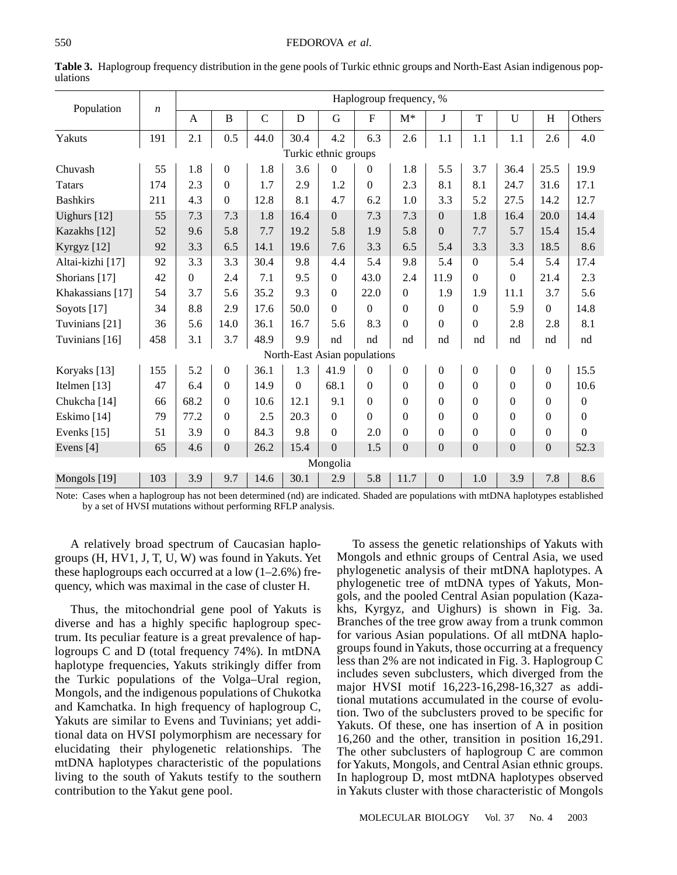| Population           |                  |              | Haplogroup frequency, % |             |          |                              |             |                |                  |                |                  |                  |          |
|----------------------|------------------|--------------|-------------------------|-------------|----------|------------------------------|-------------|----------------|------------------|----------------|------------------|------------------|----------|
|                      | $\boldsymbol{n}$ | $\mathbf{A}$ | $\overline{B}$          | $\mathbf C$ | D        | G                            | $\mathbf F$ | $M^*$          | J                | T              | U                | H                | Others   |
| Yakuts               | 191              | 2.1          | 0.5                     | 44.0        | 30.4     | 4.2                          | 6.3         | 2.6            | 1.1              | 1.1            | 1.1              | 2.6              | 4.0      |
| Turkic ethnic groups |                  |              |                         |             |          |                              |             |                |                  |                |                  |                  |          |
| Chuvash              | 55               | 1.8          | $\overline{0}$          | 1.8         | 3.6      | $\Omega$                     | $\Omega$    | 1.8            | 5.5              | 3.7            | 36.4             | 25.5             | 19.9     |
| <b>Tatars</b>        | 174              | 2.3          | $\Omega$                | 1.7         | 2.9      | 1.2                          | $\Omega$    | 2.3            | 8.1              | 8.1            | 24.7             | 31.6             | 17.1     |
| <b>Bashkirs</b>      | 211              | 4.3          | $\Omega$                | 12.8        | 8.1      | 4.7                          | 6.2         | 1.0            | 3.3              | 5.2            | 27.5             | 14.2             | 12.7     |
| Uighurs [12]         | 55               | 7.3          | 7.3                     | 1.8         | 16.4     | $\Omega$                     | 7.3         | 7.3            | $\Omega$         | 1.8            | 16.4             | 20.0             | 14.4     |
| Kazakhs [12]         | 52               | 9.6          | 5.8                     | 7.7         | 19.2     | 5.8                          | 1.9         | 5.8            | $\boldsymbol{0}$ | 7.7            | 5.7              | 15.4             | 15.4     |
| Kyrgyz [12]          | 92               | 3.3          | 6.5                     | 14.1        | 19.6     | 7.6                          | 3.3         | 6.5            | 5.4              | 3.3            | 3.3              | 18.5             | 8.6      |
| Altai-kizhi [17]     | 92               | 3.3          | 3.3                     | 30.4        | 9.8      | 4.4                          | 5.4         | 9.8            | 5.4              | $\Omega$       | 5.4              | 5.4              | 17.4     |
| Shorians [17]        | 42               | $\Omega$     | 2.4                     | 7.1         | 9.5      | $\mathbf{0}$                 | 43.0        | 2.4            | 11.9             | $\Omega$       | $\boldsymbol{0}$ | 21.4             | 2.3      |
| Khakassians [17]     | 54               | 3.7          | 5.6                     | 35.2        | 9.3      | $\Omega$                     | 22.0        | $\Omega$       | 1.9              | 1.9            | 11.1             | 3.7              | 5.6      |
| Soyots $[17]$        | 34               | 8.8          | 2.9                     | 17.6        | 50.0     | $\Omega$                     | $\Omega$    | $\Omega$       | $\Omega$         | $\Omega$       | 5.9              | $\Omega$         | 14.8     |
| Tuvinians [21]       | 36               | 5.6          | 14.0                    | 36.1        | 16.7     | 5.6                          | 8.3         | $\Omega$       | $\overline{0}$   | $\Omega$       | 2.8              | 2.8              | 8.1      |
| Tuvinians [16]       | 458              | 3.1          | 3.7                     | 48.9        | 9.9      | nd                           | nd          | nd             | nd               | nd             | nd               | nd               | nd       |
|                      |                  |              |                         |             |          | North-East Asian populations |             |                |                  |                |                  |                  |          |
| Koryaks [13]         | 155              | 5.2          | $\overline{0}$          | 36.1        | 1.3      | 41.9                         | $\Omega$    | $\overline{0}$ | $\boldsymbol{0}$ | $\overline{0}$ | $\boldsymbol{0}$ | $\boldsymbol{0}$ | 15.5     |
| Itelmen [13]         | 47               | 6.4          | $\Omega$                | 14.9        | $\Omega$ | 68.1                         | $\Omega$    | $\theta$       | $\Omega$         | $\overline{0}$ | $\boldsymbol{0}$ | $\theta$         | 10.6     |
| Chukcha [14]         | 66               | 68.2         | $\Omega$                | 10.6        | 12.1     | 9.1                          | $\Omega$    | $\Omega$       | $\Omega$         | $\Omega$       | $\Omega$         | 0                | $\theta$ |
| Eskimo [14]          | 79               | 77.2         | $\Omega$                | 2.5         | 20.3     | $\mathbf{0}$                 | $\Omega$    | $\Omega$       | $\Omega$         | $\Omega$       | $\theta$         | $\Omega$         | $\theta$ |
| Evenks [15]          | 51               | 3.9          | $\Omega$                | 84.3        | 9.8      | $\boldsymbol{0}$             | 2.0         | $\Omega$       | $\Omega$         | $\Omega$       | $\boldsymbol{0}$ | $\theta$         | $\Omega$ |
| Evens [4]            | 65               | 4.6          | $\mathbf{0}$            | 26.2        | 15.4     | $\overline{0}$               | 1.5         | $\mathbf{0}$   | $\mathbf{0}$     | $\overline{0}$ | $\boldsymbol{0}$ | $\boldsymbol{0}$ | 52.3     |
|                      | Mongolia         |              |                         |             |          |                              |             |                |                  |                |                  |                  |          |
| Mongols [19]         | 103              | 3.9          | 9.7                     | 14.6        | 30.1     | 2.9                          | 5.8         | 11.7           | $\overline{0}$   | 1.0            | 3.9              | 7.8              | 8.6      |

**Table 3.** Haplogroup frequency distribution in the gene pools of Turkic ethnic groups and North-East Asian indigenous populations

Note: Cases when a haplogroup has not been determined (nd) are indicated. Shaded are populations with mtDNA haplotypes established by a set of HVSI mutations without performing RFLP analysis.

A relatively broad spectrum of Caucasian haplogroups (H, HV1, J, T, U, W) was found in Yakuts. Yet these haplogroups each occurred at a low  $(1-2.6%)$  frequency, which was maximal in the case of cluster H.

Thus, the mitochondrial gene pool of Yakuts is diverse and has a highly specific haplogroup spectrum. Its peculiar feature is a great prevalence of haplogroups C and D (total frequency 74%). In mtDNA haplotype frequencies, Yakuts strikingly differ from the Turkic populations of the Volga–Ural region, Mongols, and the indigenous populations of Chukotka and Kamchatka. In high frequency of haplogroup C, Yakuts are similar to Evens and Tuvinians; yet additional data on HVSI polymorphism are necessary for elucidating their phylogenetic relationships. The mtDNA haplotypes characteristic of the populations living to the south of Yakuts testify to the southern contribution to the Yakut gene pool.

To assess the genetic relationships of Yakuts with Mongols and ethnic groups of Central Asia, we used phylogenetic analysis of their mtDNA haplotypes. A phylogenetic tree of mtDNA types of Yakuts, Mongols, and the pooled Central Asian population (Kazakhs, Kyrgyz, and Uighurs) is shown in Fig. 3a. Branches of the tree grow away from a trunk common for various Asian populations. Of all mtDNA haplogroups found in Yakuts, those occurring at a frequency less than 2% are not indicated in Fig. 3. Haplogroup C includes seven subclusters, which diverged from the major HVSI motif 16,223-16,298-16,327 as additional mutations accumulated in the course of evolution. Two of the subclusters proved to be specific for Yakuts. Of these, one has insertion of A in position 16,260 and the other, transition in position 16,291. The other subclusters of haplogroup C are common for Yakuts, Mongols, and Central Asian ethnic groups. In haplogroup D, most mtDNA haplotypes observed in Yakuts cluster with those characteristic of Mongols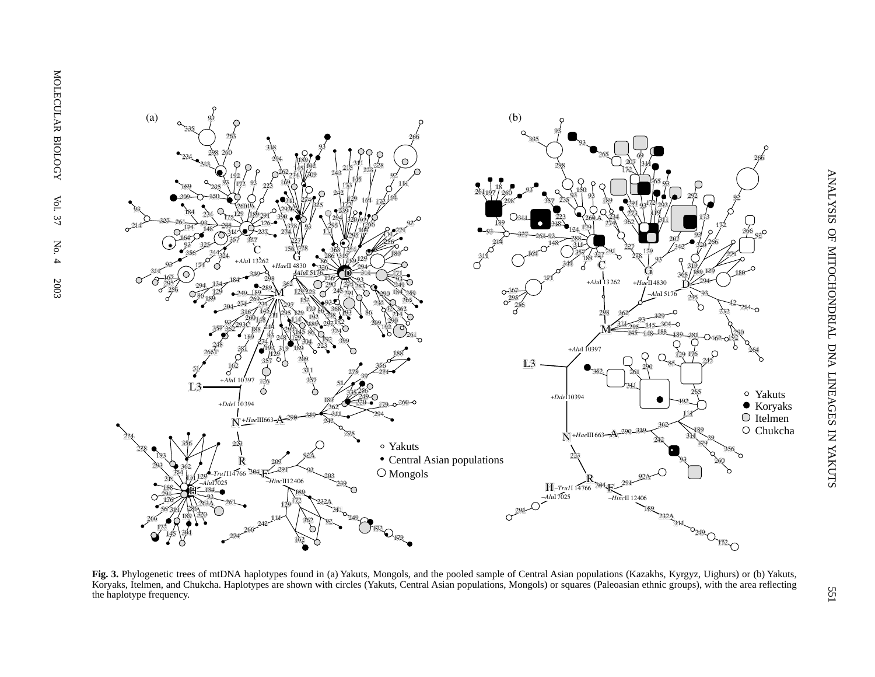

**Fig. 3.** Phylogenetic trees of mtDNA haplotypes found in (a) Yakuts, Mongols, and the pooled sample of Central Asian populations (Kazakhs, Kyrgyz, Uighurs) or (b) Yakuts, Koryaks, Itelmen, and Chukcha. Haplotypes are shown with circles (Yakuts, Central Asian populations, Mongols) or squares (Paleoasian ethnic groups), with the area reflecting the haplotype frequency.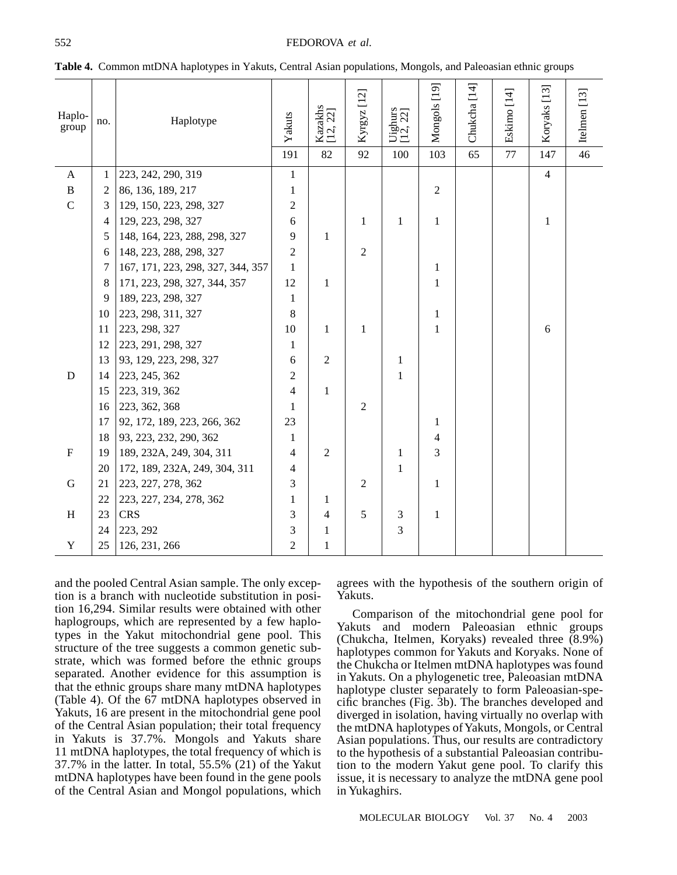| Haplo-<br>group | no.            | Haplotype                         | Yakuts<br>191  | Kazakhs<br>[12, 22]<br>82 | Kyrgyz [12]<br>92 | Uighurs<br>[12, 22]<br>100 | Mongols [19]<br>103 | Chukcha [14]<br>65 | Eskimo [14]<br>77 | Koryaks [13]<br>147 | Itelmen $[13]$<br>46 |
|-----------------|----------------|-----------------------------------|----------------|---------------------------|-------------------|----------------------------|---------------------|--------------------|-------------------|---------------------|----------------------|
| $\mathbf{A}$    | 1              | 223, 242, 290, 319                | $\mathbf{1}$   |                           |                   |                            |                     |                    |                   | $\overline{4}$      |                      |
| $\, {\bf B}$    | $\overline{c}$ | 86, 136, 189, 217                 | $\mathbf{1}$   |                           |                   |                            | $\overline{2}$      |                    |                   |                     |                      |
| $\mathsf{C}$    | 3              | 129, 150, 223, 298, 327           | $\overline{2}$ |                           |                   |                            |                     |                    |                   |                     |                      |
|                 | 4              | 129, 223, 298, 327                | 6              |                           | 1                 | 1                          | $\mathbf{1}$        |                    |                   | 1                   |                      |
|                 | 5              | 148, 164, 223, 288, 298, 327      | 9              | 1                         |                   |                            |                     |                    |                   |                     |                      |
|                 | 6              | 148, 223, 288, 298, 327           | $\overline{2}$ |                           | $\overline{2}$    |                            |                     |                    |                   |                     |                      |
|                 | 7              | 167, 171, 223, 298, 327, 344, 357 | 1              |                           |                   |                            | $\mathbf{1}$        |                    |                   |                     |                      |
|                 | 8              | 171, 223, 298, 327, 344, 357      | 12             | 1                         |                   |                            | 1                   |                    |                   |                     |                      |
|                 | 9              | 189, 223, 298, 327                | 1              |                           |                   |                            |                     |                    |                   |                     |                      |
|                 | 10             | 223, 298, 311, 327                | 8              |                           |                   |                            | $\mathbf{1}$        |                    |                   |                     |                      |
|                 | 11             | 223, 298, 327                     | 10             | $\mathbf{1}$              | 1                 |                            | $\mathbf{1}$        |                    |                   | 6                   |                      |
|                 | 12             | 223, 291, 298, 327                | $\mathbf{1}$   |                           |                   |                            |                     |                    |                   |                     |                      |
|                 | 13             | 93, 129, 223, 298, 327            | 6              | $\overline{2}$            |                   | 1                          |                     |                    |                   |                     |                      |
| $\mathbf D$     | 14             | 223, 245, 362                     | $\overline{2}$ |                           |                   | 1                          |                     |                    |                   |                     |                      |
|                 | 15             | 223, 319, 362                     | $\overline{4}$ | 1                         |                   |                            |                     |                    |                   |                     |                      |
|                 | 16             | 223, 362, 368                     | $\mathbf{1}$   |                           | $\overline{2}$    |                            |                     |                    |                   |                     |                      |
|                 | 17             | 92, 172, 189, 223, 266, 362       | 23             |                           |                   |                            | 1                   |                    |                   |                     |                      |
|                 | 18             | 93, 223, 232, 290, 362            | $\mathbf{1}$   |                           |                   |                            | 4                   |                    |                   |                     |                      |
| $\mathbf F$     | 19             | 189, 232A, 249, 304, 311          | $\overline{4}$ | $\overline{2}$            |                   | 1                          | 3                   |                    |                   |                     |                      |
|                 | 20             | 172, 189, 232A, 249, 304, 311     | $\overline{4}$ |                           |                   | 1                          |                     |                    |                   |                     |                      |
| G               | 21             | 223, 227, 278, 362                | 3              |                           | $\overline{2}$    |                            | $\mathbf{1}$        |                    |                   |                     |                      |
|                 | 22             | 223, 227, 234, 278, 362           | 1              | 1                         |                   |                            |                     |                    |                   |                     |                      |
| H               | 23             | <b>CRS</b>                        | 3              | 4                         | 5                 | 3                          | 1                   |                    |                   |                     |                      |
|                 | 24             | 223, 292                          | 3              | 1                         |                   | 3                          |                     |                    |                   |                     |                      |
| $\mathbf Y$     | 25             | 126, 231, 266                     | $\overline{2}$ | 1                         |                   |                            |                     |                    |                   |                     |                      |

**Table 4.** Common mtDNA haplotypes in Yakuts, Central Asian populations, Mongols, and Paleoasian ethnic groups

and the pooled Central Asian sample. The only exception is a branch with nucleotide substitution in position 16,294. Similar results were obtained with other haplogroups, which are represented by a few haplotypes in the Yakut mitochondrial gene pool. This structure of the tree suggests a common genetic substrate, which was formed before the ethnic groups separated. Another evidence for this assumption is that the ethnic groups share many mtDNA haplotypes (Table 4). Of the 67 mtDNA haplotypes observed in Yakuts, 16 are present in the mitochondrial gene pool of the Central Asian population; their total frequency in Yakuts is 37.7%. Mongols and Yakuts share 11 mtDNA haplotypes, the total frequency of which is 37.7% in the latter. In total, 55.5% (21) of the Yakut mtDNA haplotypes have been found in the gene pools of the Central Asian and Mongol populations, which

agrees with the hypothesis of the southern origin of Yakuts.

Comparison of the mitochondrial gene pool for Yakuts and modern Paleoasian ethnic groups (Chukcha, Itelmen, Koryaks) revealed three (8.9%) haplotypes common for Yakuts and Koryaks. None of the Chukcha or Itelmen mtDNA haplotypes was found in Yakuts. On a phylogenetic tree, Paleoasian mtDNA haplotype cluster separately to form Paleoasian-specific branches (Fig. 3b). The branches developed and diverged in isolation, having virtually no overlap with the mtDNA haplotypes of Yakuts, Mongols, or Central Asian populations. Thus, our results are contradictory to the hypothesis of a substantial Paleoasian contribution to the modern Yakut gene pool. To clarify this issue, it is necessary to analyze the mtDNA gene pool in Yukaghirs.